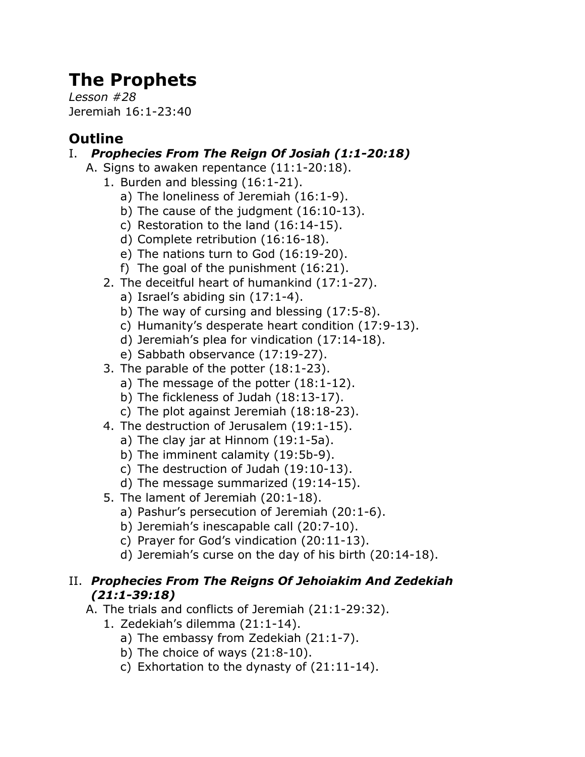# **The Prophets**

*Lesson #28* Jeremiah 16:1-23:40

# **Outline**

## I. *Prophecies From The Reign Of Josiah (1:1-20:18)*

- A. Signs to awaken repentance (11:1-20:18).
	- 1. Burden and blessing (16:1-21).
		- a) The loneliness of Jeremiah (16:1-9).
		- b) The cause of the judgment (16:10-13).
		- c) Restoration to the land (16:14-15).
		- d) Complete retribution (16:16-18).
		- e) The nations turn to God (16:19-20).
		- f) The goal of the punishment (16:21).
	- 2. The deceitful heart of humankind (17:1-27).
		- a) Israel's abiding sin (17:1-4).
		- b) The way of cursing and blessing (17:5-8).
		- c) Humanity's desperate heart condition (17:9-13).
		- d) Jeremiah's plea for vindication (17:14-18).
		- e) Sabbath observance (17:19-27).
	- 3. The parable of the potter (18:1-23).
		- a) The message of the potter (18:1-12).
		- b) The fickleness of Judah (18:13-17).
		- c) The plot against Jeremiah (18:18-23).
	- 4. The destruction of Jerusalem (19:1-15).
		- a) The clay jar at Hinnom (19:1-5a).
		- b) The imminent calamity (19:5b-9).
		- c) The destruction of Judah (19:10-13).
		- d) The message summarized (19:14-15).
	- 5. The lament of Jeremiah (20:1-18).
		- a) Pashur's persecution of Jeremiah (20:1-6).
		- b) Jeremiah's inescapable call (20:7-10).
		- c) Prayer for God's vindication (20:11-13).
		- d) Jeremiah's curse on the day of his birth (20:14-18).

#### II. *Prophecies From The Reigns Of Jehoiakim And Zedekiah (21:1-39:18)*

- A. The trials and conflicts of Jeremiah (21:1-29:32).
	- 1. Zedekiah's dilemma (21:1-14).
		- a) The embassy from Zedekiah (21:1-7).
		- b) The choice of ways (21:8-10).
		- c) Exhortation to the dynasty of (21:11-14).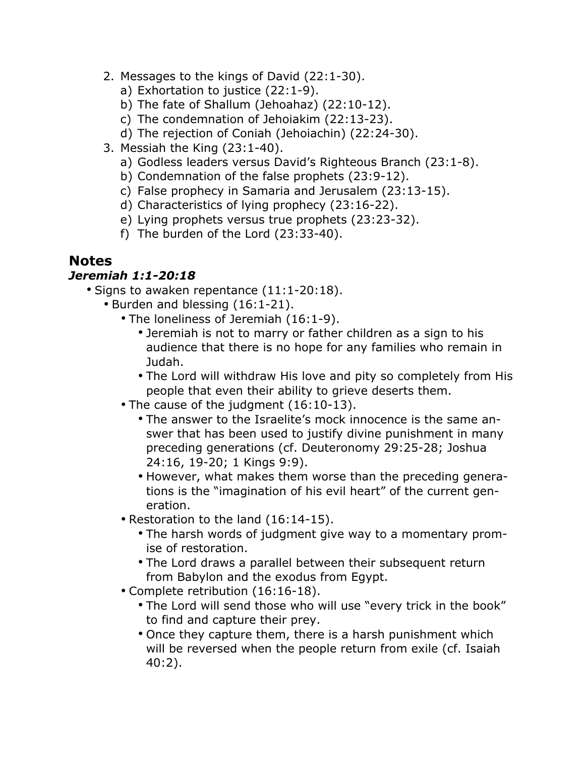- 2. Messages to the kings of David (22:1-30).
	- a) Exhortation to justice (22:1-9).
	- b) The fate of Shallum (Jehoahaz) (22:10-12).
	- c) The condemnation of Jehoiakim (22:13-23).
	- d) The rejection of Coniah (Jehoiachin) (22:24-30).
- 3. Messiah the King (23:1-40).
	- a) Godless leaders versus David's Righteous Branch (23:1-8).
	- b) Condemnation of the false prophets (23:9-12).
	- c) False prophecy in Samaria and Jerusalem (23:13-15).
	- d) Characteristics of lying prophecy (23:16-22).
	- e) Lying prophets versus true prophets (23:23-32).
	- f) The burden of the Lord (23:33-40).

### **Notes**

#### *Jeremiah 1:1-20:18*

- Signs to awaken repentance (11:1-20:18).
	- Burden and blessing (16:1-21).
		- The loneliness of Jeremiah (16:1-9).
			- Jeremiah is not to marry or father children as a sign to his audience that there is no hope for any families who remain in Judah.
			- The Lord will withdraw His love and pity so completely from His people that even their ability to grieve deserts them.
		- The cause of the judgment (16:10-13).
			- The answer to the Israelite's mock innocence is the same answer that has been used to justify divine punishment in many preceding generations (cf. Deuteronomy 29:25-28; Joshua 24:16, 19-20; 1 Kings 9:9).
			- However, what makes them worse than the preceding generations is the "imagination of his evil heart" of the current generation.
		- Restoration to the land (16:14-15).
			- The harsh words of judgment give way to a momentary promise of restoration.
			- The Lord draws a parallel between their subsequent return from Babylon and the exodus from Egypt.
		- Complete retribution (16:16-18).
			- The Lord will send those who will use "every trick in the book" to find and capture their prey.
			- Once they capture them, there is a harsh punishment which will be reversed when the people return from exile (cf. Isaiah 40:2).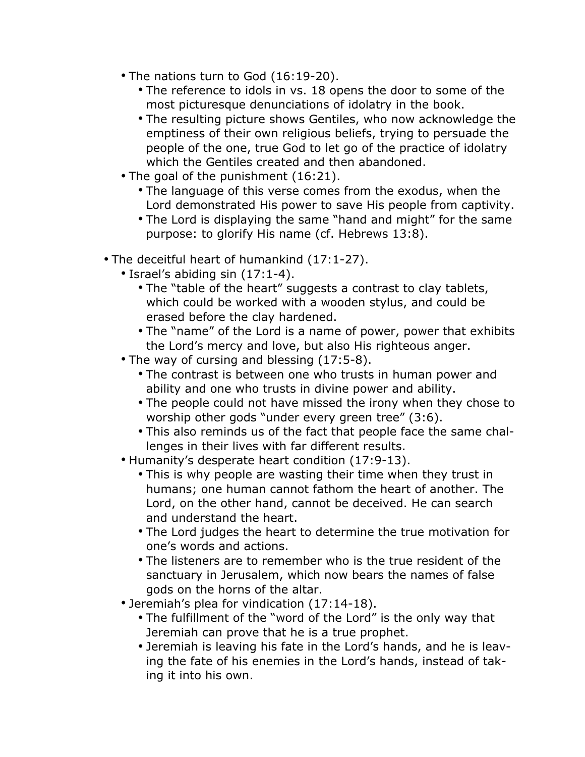- The nations turn to God (16:19-20).
	- The reference to idols in vs. 18 opens the door to some of the most picturesque denunciations of idolatry in the book.
	- The resulting picture shows Gentiles, who now acknowledge the emptiness of their own religious beliefs, trying to persuade the people of the one, true God to let go of the practice of idolatry which the Gentiles created and then abandoned.
- The goal of the punishment (16:21).
	- The language of this verse comes from the exodus, when the Lord demonstrated His power to save His people from captivity.
	- The Lord is displaying the same "hand and might" for the same purpose: to glorify His name (cf. Hebrews 13:8).
- The deceitful heart of humankind (17:1-27).
	- Israel's abiding sin (17:1-4).
		- The "table of the heart" suggests a contrast to clay tablets, which could be worked with a wooden stylus, and could be erased before the clay hardened.
		- The "name" of the Lord is a name of power, power that exhibits the Lord's mercy and love, but also His righteous anger.
	- The way of cursing and blessing (17:5-8).
		- The contrast is between one who trusts in human power and ability and one who trusts in divine power and ability.
		- The people could not have missed the irony when they chose to worship other gods "under every green tree" (3:6).
		- This also reminds us of the fact that people face the same challenges in their lives with far different results.
	- Humanity's desperate heart condition (17:9-13).
		- This is why people are wasting their time when they trust in humans; one human cannot fathom the heart of another. The Lord, on the other hand, cannot be deceived. He can search and understand the heart.
		- The Lord judges the heart to determine the true motivation for one's words and actions.
		- The listeners are to remember who is the true resident of the sanctuary in Jerusalem, which now bears the names of false gods on the horns of the altar.
	- Jeremiah's plea for vindication (17:14-18).
		- The fulfillment of the "word of the Lord" is the only way that Jeremiah can prove that he is a true prophet.
		- Jeremiah is leaving his fate in the Lord's hands, and he is leaving the fate of his enemies in the Lord's hands, instead of taking it into his own.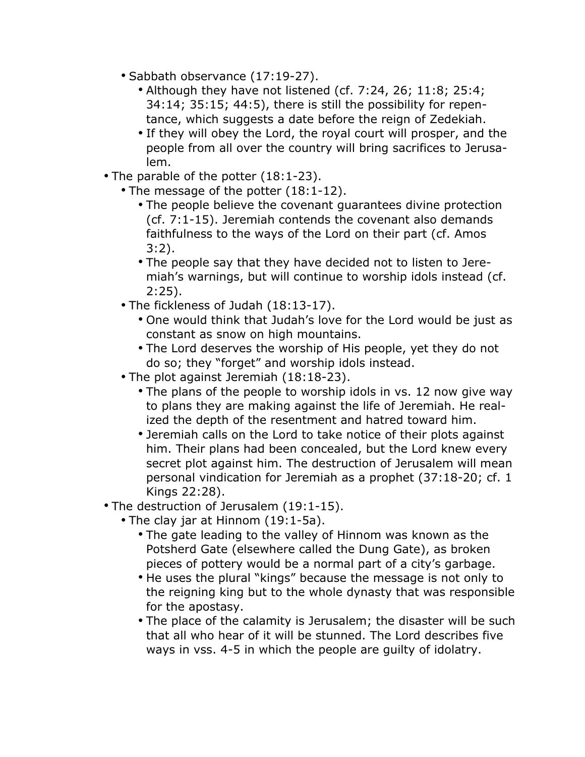- Sabbath observance (17:19-27).
	- Although they have not listened (cf. 7:24, 26; 11:8; 25:4; 34:14; 35:15; 44:5), there is still the possibility for repentance, which suggests a date before the reign of Zedekiah.
	- If they will obey the Lord, the royal court will prosper, and the people from all over the country will bring sacrifices to Jerusalem.
- The parable of the potter (18:1-23).
	- The message of the potter (18:1-12).
		- The people believe the covenant guarantees divine protection (cf. 7:1-15). Jeremiah contends the covenant also demands faithfulness to the ways of the Lord on their part (cf. Amos 3:2).
		- The people say that they have decided not to listen to Jeremiah's warnings, but will continue to worship idols instead (cf. 2:25).
	- The fickleness of Judah (18:13-17).
		- One would think that Judah's love for the Lord would be just as constant as snow on high mountains.
		- The Lord deserves the worship of His people, yet they do not do so; they "forget" and worship idols instead.
	- The plot against Jeremiah (18:18-23).
		- The plans of the people to worship idols in vs. 12 now give way to plans they are making against the life of Jeremiah. He realized the depth of the resentment and hatred toward him.
		- Jeremiah calls on the Lord to take notice of their plots against him. Their plans had been concealed, but the Lord knew every secret plot against him. The destruction of Jerusalem will mean personal vindication for Jeremiah as a prophet (37:18-20; cf. 1 Kings 22:28).
- The destruction of Jerusalem (19:1-15).
	- The clay jar at Hinnom (19:1-5a).
		- The gate leading to the valley of Hinnom was known as the Potsherd Gate (elsewhere called the Dung Gate), as broken pieces of pottery would be a normal part of a city's garbage.
		- He uses the plural "kings" because the message is not only to the reigning king but to the whole dynasty that was responsible for the apostasy.
		- The place of the calamity is Jerusalem; the disaster will be such that all who hear of it will be stunned. The Lord describes five ways in vss. 4-5 in which the people are guilty of idolatry.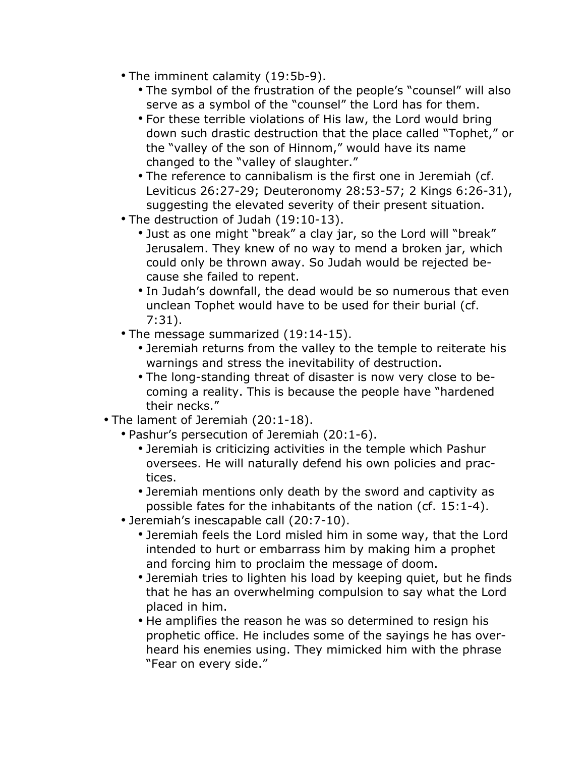- The imminent calamity (19:5b-9).
	- The symbol of the frustration of the people's "counsel" will also serve as a symbol of the "counsel" the Lord has for them.
	- For these terrible violations of His law, the Lord would bring down such drastic destruction that the place called "Tophet," or the "valley of the son of Hinnom," would have its name changed to the "valley of slaughter."
	- The reference to cannibalism is the first one in Jeremiah (cf. Leviticus 26:27-29; Deuteronomy 28:53-57; 2 Kings 6:26-31), suggesting the elevated severity of their present situation.
- The destruction of Judah (19:10-13).
	- Just as one might "break" a clay jar, so the Lord will "break" Jerusalem. They knew of no way to mend a broken jar, which could only be thrown away. So Judah would be rejected because she failed to repent.
	- In Judah's downfall, the dead would be so numerous that even unclean Tophet would have to be used for their burial (cf. 7:31).
- The message summarized (19:14-15).
	- Jeremiah returns from the valley to the temple to reiterate his warnings and stress the inevitability of destruction.
	- The long-standing threat of disaster is now very close to becoming a reality. This is because the people have "hardened their necks."
- The lament of Jeremiah (20:1-18).
	- Pashur's persecution of Jeremiah (20:1-6).
		- Jeremiah is criticizing activities in the temple which Pashur oversees. He will naturally defend his own policies and practices.
		- Jeremiah mentions only death by the sword and captivity as possible fates for the inhabitants of the nation (cf. 15:1-4).
	- Jeremiah's inescapable call (20:7-10).
		- Jeremiah feels the Lord misled him in some way, that the Lord intended to hurt or embarrass him by making him a prophet and forcing him to proclaim the message of doom.
		- Jeremiah tries to lighten his load by keeping quiet, but he finds that he has an overwhelming compulsion to say what the Lord placed in him.
		- He amplifies the reason he was so determined to resign his prophetic office. He includes some of the sayings he has overheard his enemies using. They mimicked him with the phrase "Fear on every side."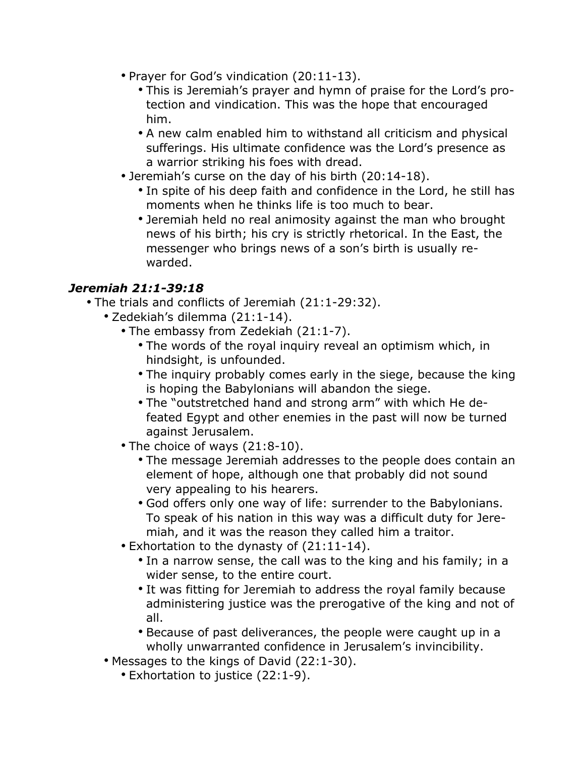- Prayer for God's vindication (20:11-13).
	- This is Jeremiah's prayer and hymn of praise for the Lord's protection and vindication. This was the hope that encouraged him.
	- A new calm enabled him to withstand all criticism and physical sufferings. His ultimate confidence was the Lord's presence as a warrior striking his foes with dread.
- Jeremiah's curse on the day of his birth (20:14-18).
	- In spite of his deep faith and confidence in the Lord, he still has moments when he thinks life is too much to bear.
	- Jeremiah held no real animosity against the man who brought news of his birth; his cry is strictly rhetorical. In the East, the messenger who brings news of a son's birth is usually rewarded.

# *Jeremiah 21:1-39:18*

- The trials and conflicts of Jeremiah (21:1-29:32).
	- Zedekiah's dilemma (21:1-14).
		- The embassy from Zedekiah (21:1-7).
			- The words of the royal inquiry reveal an optimism which, in hindsight, is unfounded.
			- The inquiry probably comes early in the siege, because the king is hoping the Babylonians will abandon the siege.
			- The "outstretched hand and strong arm" with which He defeated Egypt and other enemies in the past will now be turned against Jerusalem.
		- The choice of ways (21:8-10).
			- The message Jeremiah addresses to the people does contain an element of hope, although one that probably did not sound very appealing to his hearers.
			- God offers only one way of life: surrender to the Babylonians. To speak of his nation in this way was a difficult duty for Jeremiah, and it was the reason they called him a traitor.
		- Exhortation to the dynasty of (21:11-14).
			- In a narrow sense, the call was to the king and his family; in a wider sense, to the entire court.
			- It was fitting for Jeremiah to address the royal family because administering justice was the prerogative of the king and not of all.
			- Because of past deliverances, the people were caught up in a wholly unwarranted confidence in Jerusalem's invincibility.
	- Messages to the kings of David (22:1-30).
		- Exhortation to justice (22:1-9).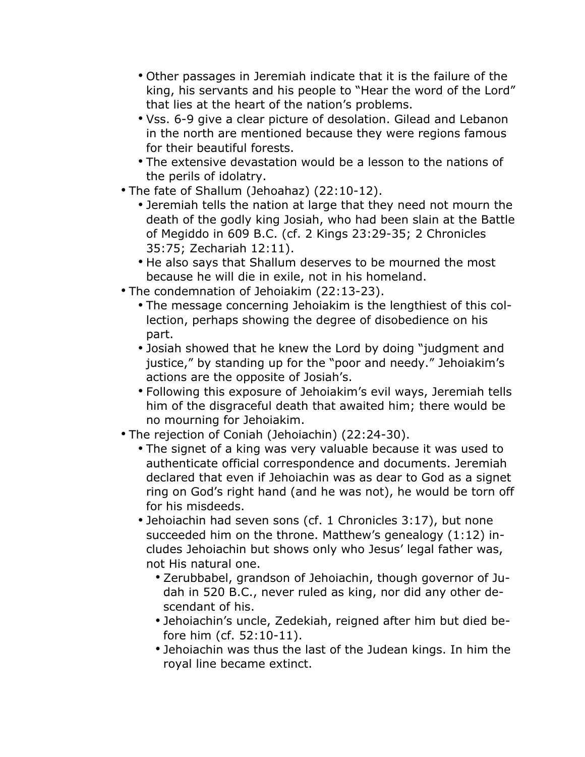- Other passages in Jeremiah indicate that it is the failure of the king, his servants and his people to "Hear the word of the Lord" that lies at the heart of the nation's problems.
- Vss. 6-9 give a clear picture of desolation. Gilead and Lebanon in the north are mentioned because they were regions famous for their beautiful forests.
- The extensive devastation would be a lesson to the nations of the perils of idolatry.
- The fate of Shallum (Jehoahaz) (22:10-12).
	- Jeremiah tells the nation at large that they need not mourn the death of the godly king Josiah, who had been slain at the Battle of Megiddo in 609 B.C. (cf. 2 Kings 23:29-35; 2 Chronicles 35:75; Zechariah 12:11).
	- He also says that Shallum deserves to be mourned the most because he will die in exile, not in his homeland.
- The condemnation of Jehoiakim (22:13-23).
	- The message concerning Jehoiakim is the lengthiest of this collection, perhaps showing the degree of disobedience on his part.
	- Josiah showed that he knew the Lord by doing "judgment and justice," by standing up for the "poor and needy." Jehoiakim's actions are the opposite of Josiah's.
	- Following this exposure of Jehoiakim's evil ways, Jeremiah tells him of the disgraceful death that awaited him; there would be no mourning for Jehoiakim.
- The rejection of Coniah (Jehoiachin) (22:24-30).
	- The signet of a king was very valuable because it was used to authenticate official correspondence and documents. Jeremiah declared that even if Jehoiachin was as dear to God as a signet ring on God's right hand (and he was not), he would be torn off for his misdeeds.
	- Jehoiachin had seven sons (cf. 1 Chronicles 3:17), but none succeeded him on the throne. Matthew's genealogy (1:12) includes Jehoiachin but shows only who Jesus' legal father was, not His natural one.
		- Zerubbabel, grandson of Jehoiachin, though governor of Judah in 520 B.C., never ruled as king, nor did any other descendant of his.
		- Jehoiachin's uncle, Zedekiah, reigned after him but died before him (cf. 52:10-11).
		- Jehoiachin was thus the last of the Judean kings. In him the royal line became extinct.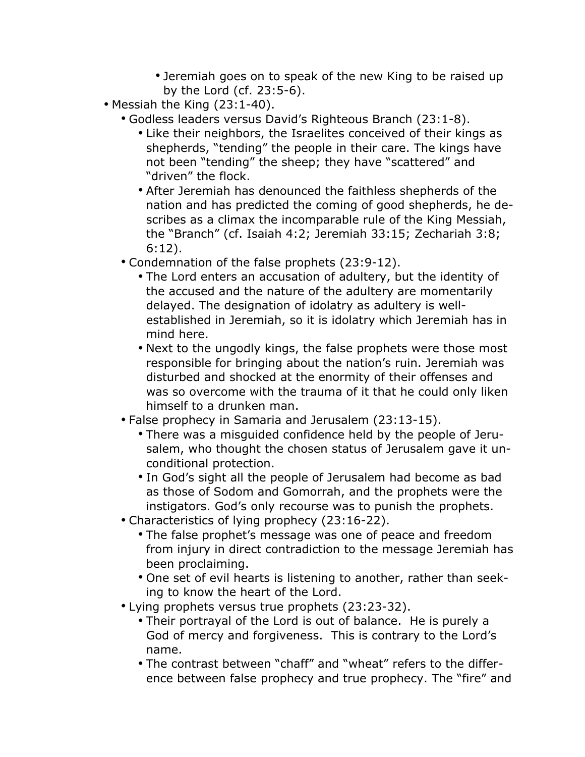- Jeremiah goes on to speak of the new King to be raised up by the Lord (cf. 23:5-6).
- Messiah the King (23:1-40).
	- Godless leaders versus David's Righteous Branch (23:1-8).
		- Like their neighbors, the Israelites conceived of their kings as shepherds, "tending" the people in their care. The kings have not been "tending" the sheep; they have "scattered" and "driven" the flock.
		- After Jeremiah has denounced the faithless shepherds of the nation and has predicted the coming of good shepherds, he describes as a climax the incomparable rule of the King Messiah, the "Branch" (cf. Isaiah 4:2; Jeremiah 33:15; Zechariah 3:8; 6:12).
	- Condemnation of the false prophets (23:9-12).
		- The Lord enters an accusation of adultery, but the identity of the accused and the nature of the adultery are momentarily delayed. The designation of idolatry as adultery is wellestablished in Jeremiah, so it is idolatry which Jeremiah has in mind here.
		- Next to the ungodly kings, the false prophets were those most responsible for bringing about the nation's ruin. Jeremiah was disturbed and shocked at the enormity of their offenses and was so overcome with the trauma of it that he could only liken himself to a drunken man.
	- False prophecy in Samaria and Jerusalem (23:13-15).
		- There was a misguided confidence held by the people of Jerusalem, who thought the chosen status of Jerusalem gave it unconditional protection.
		- In God's sight all the people of Jerusalem had become as bad as those of Sodom and Gomorrah, and the prophets were the instigators. God's only recourse was to punish the prophets.
	- Characteristics of lying prophecy (23:16-22).
		- The false prophet's message was one of peace and freedom from injury in direct contradiction to the message Jeremiah has been proclaiming.
		- One set of evil hearts is listening to another, rather than seeking to know the heart of the Lord.
	- Lying prophets versus true prophets (23:23-32).
		- Their portrayal of the Lord is out of balance. He is purely a God of mercy and forgiveness. This is contrary to the Lord's name.
		- The contrast between "chaff" and "wheat" refers to the difference between false prophecy and true prophecy. The "fire" and